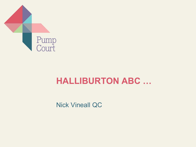

# **HALLIBURTON ABC …**

Nick Vineall QC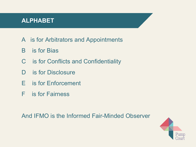## **ALPHABET**

- A is for Arbitrators and Appointments
- B is for Bias
- C is for Conflicts and Confidentiality
- D is for Disclosure
- E is for Enforcement
- F is for Fairness

And IFMO is the Informed Fair-Minded Observer

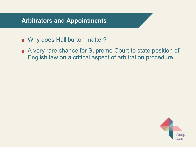#### **Arbitrators and Appointments**

- Why does Halliburton matter?
- A very rare chance for Supreme Court to state position of English law on a critical aspect of arbitration procedure

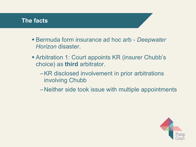- Bermuda form insurance ad hoc arb *Deepwater Horizon* disaster.
- **Arbitration 1: Court appoints KR (insurer Chubb's** choice) as **third** arbitrator.
	- –KR disclosed involvement in prior arbitrations involving Chubb
	- –Neither side took issue with multiple appointments

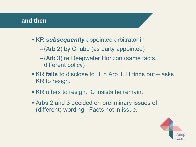- **KR subsequently** appointed arbitrator in
	- –(Arb 2) by Chubb (as party appointee)
	- –(Arb 3) re Deepwater Horizon (same facts, different policy)
- KR **fails** to disclose to H in Arb 1. H finds out asks KR to resign.
- KR offers to resign. C insists he remain.
- Arbs 2 and 3 decided on preliminary issues of (different) wording. Facts not in issue.

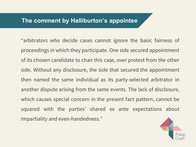#### **The comment by Halliburton's appointee**

"arbitrators who decide cases cannot ignore the basic fairness of proceedings in which they participate. One side secured appointment of its chosen candidate to chair this case, over protest from the other side. Without any disclosure, the side that secured the appointment then named the same individual as its party-selected arbitrator in another dispute arising from the same events. The lack of disclosure, which causes special concern in the present fact pattern, cannot be squared with the parties' shared ex ante expectations about impartiality and even-handedness."

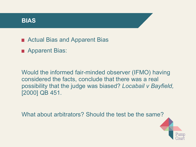■ Actual Bias and Apparent Bias

**Apparent Bias:** 

Would the informed fair-minded observer (IFMO) having considered the facts, conclude that there was a real possibility that the judge was biased? *Locabail v Bayfield,* [2000] QB 451.

What about arbitrators? Should the test be the same?

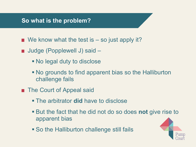#### **So what is the problem?**

- $\blacksquare$  We know what the test is  $-$  so just apply it?
- Judge (Popplewell J) said -
	- No legal duty to disclose
	- No grounds to find apparent bias so the Halliburton challenge fails
- **The Court of Appeal said** 
	- The arbitrator **did** have to disclose
	- But the fact that he did not do so does **not** give rise to apparent bias
	- So the Halliburton challenge still fails

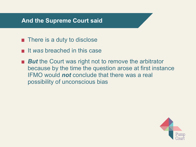#### **And the Supreme Court said**

- **n** There is a duty to disclose
- **If** *was* breached in this case
- **But** the Court was right not to remove the arbitrator because by the time the question arose at first instance IFMO would *not* conclude that there was a real possibility of unconscious bias

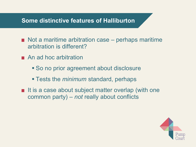#### **Some distinctive features of Halliburton**

- $\blacksquare$  Not a maritime arbitration case perhaps maritime arbitration is different?
- An ad hoc arbitration
	- **So no prior agreement about disclosure**
	- Tests the *minimum* standard, perhaps
- $\blacksquare$  It is a case about subject matter overlap (with one common party) – *not* really about conflicts

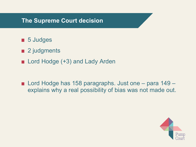#### **The Supreme Court decision**

- **5** Judges
- 2 judgments
- Lord Hodge (+3) and Lady Arden
- Lord Hodge has 158 paragraphs. Just one para 149 explains why a real possibility of bias was not made out.

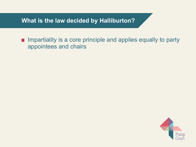**What is the law decided by Halliburton?**

 $\blacksquare$  Impartiality is a core principle and applies equally to party appointees and chairs

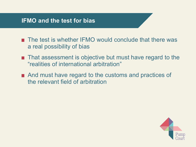#### **IFMO and the test for bias**

- The test is whether IFMO would conclude that there was a real possibility of bias
- That assessment is objective but must have regard to the "realities of international arbitration"
- And must have regard to the customs and practices of the relevant field of arbitration

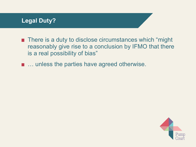# **Legal Duty?**

- **There is a duty to disclose circumstances which "might"** reasonably give rise to a conclusion by IFMO that there is a real possibility of bias"
- … unless the parties have agreed otherwise.

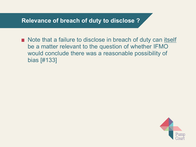Note that a failure to disclose in breach of duty can itself be a matter relevant to the question of whether IFMO would conclude there was a reasonable possibility of bias [#133]

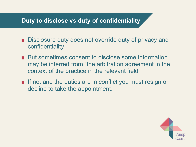## **Duty to disclose vs duty of confidentiality**

- Disclosure duty does not override duty of privacy and confidentiality
- But sometimes consent to disclose some information may be inferred from "the arbitration agreement in the context of the practice in the relevant field"
- If not and the duties are in conflict you must resign or decline to take the appointment.

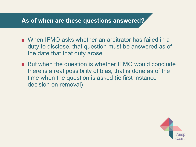## **As of when are these questions answered?**

- When IFMO asks whether an arbitrator has failed in a duty to disclose, that question must be answered as of the date that that duty arose
- But when the question is whether IFMO would conclude there is a real possibility of bias, that is done as of the time when the question is asked (ie first instance decision on removal)

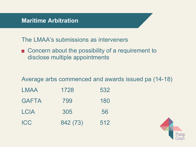The LMAA's submissions as interveners

■ Concern about the possibility of a requirement to disclose multiple appointments

Average arbs commenced and awards issued pa (14-18)

| LMAA         | 1728     | 532 |
|--------------|----------|-----|
| <b>GAFTA</b> | 799      | 180 |
| <b>LCIA</b>  | 305      | 56  |
| <b>ICC</b>   | 842 (73) | 512 |

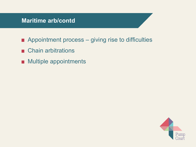## **Maritime arb/contd**

- Appointment process giving rise to difficulties
- Chain arbitrations
- **Multiple appointments**

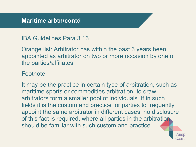## IBA Guidelines Para 3.13

Orange list: Arbitrator has within the past 3 years been appointed as arbitrator on two or more occasion by one of the parties/affiliates

#### Footnote:

It may be the practice in certain type of arbitration, such as maritime sports or commodities arbitration, to draw arbitrators form a smaller pool of individuals. If in such fields it is the custom and practice for parties to frequently appoint the same arbitrator in different cases, no disclosure of this fact is required, where all parties in the arbitration should be familiar with such custom and practice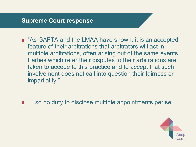■ "As GAFTA and the LMAA have shown, it is an accepted feature of their arbitrations that arbitrators will act in multiple arbitrations, often arising out of the same events, Parties which refer their disputes to their arbitrations are taken to accede to this practice and to accept that such involvement does not call into question their fairness or impartiality."

■ … so no duty to disclose multiple appointments per se

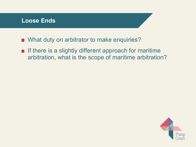- What duty on arbitrator to make enquiries?
- $\blacksquare$  If there is a slightly different approach for maritime arbitration, what is the scope of maritime arbitration?

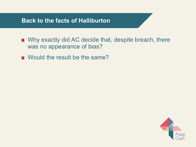#### **Back to the facts of Halliburton**

- Why exactly did AC decide that, despite breach, there was no appearance of bias?
- Would the result be the same?

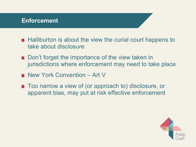#### **Enforcement**

- $\blacksquare$  Halliburton is about the view the curial court happens to take about disclosure
- Don't forget the importance of the view taken in jurisdictions where enforcement may need to take place
- New York Convention Art V
- Too narrow a view of (or approach to) disclosure, or apparent bias, may put at risk effective enforcement

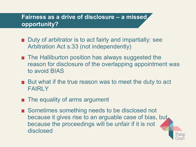# **Fairness as a drive of disclosure – a missed opportunity?**

- Duty of arbitrator is to act fairly and impartially: see Arbitration Act s.33 (not independently)
- **The Halliburton position has always suggested the** reason for disclosure of the overlapping appointment was to avoid BIAS
- But what if the true reason was to meet the duty to act FAIRLY
- $\blacksquare$  The equality of arms argument
- Sometimes something needs to be disclosed not because it gives rise to an arguable case of bias, but because the proceedings will be unfair if it is not disclosed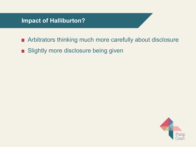- Arbitrators thinking much more carefully about disclosure
- **Slightly more disclosure being given**

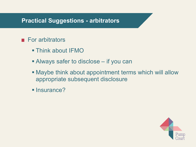#### **Practical Suggestions - arbitrators**

## $\blacksquare$  For arbitrators

- Think about IFMO
- Always safer to disclose if you can
- Maybe think about appointment terms which will allow appropriate subsequent disclosure
- **Insurance?**

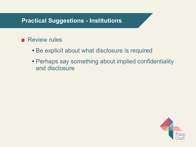## **Practical Suggestions - Institutions**

## **Review rules**

- Be explicit about what disclosure is required
- Perhaps say something about implied confidentiality and disclosure

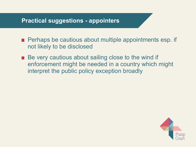#### **Practical suggestions - appointers**

- **Perhaps be cautious about multiple appointments esp. if** not likely to be disclosed
- Be very cautious about sailing close to the wind if enforcement might be needed in a country which might interpret the public policy exception broadly